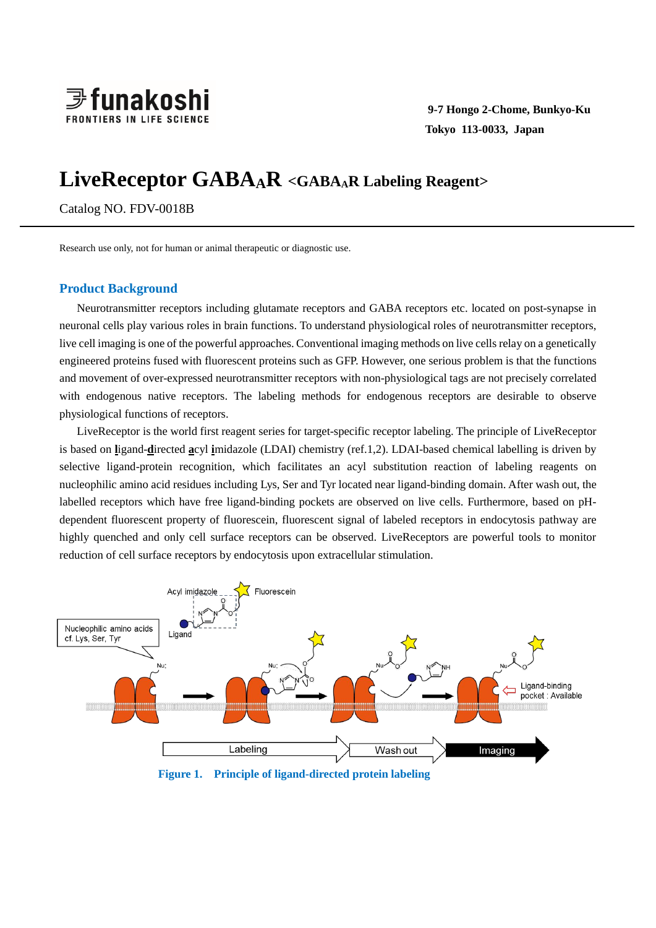

# **LiveReceptor GABAAR <GABAA<sup>R</sup> Labeling Reagent>**

Catalog NO. FDV-0018B

Research use only, not for human or animal therapeutic or diagnostic use.

## **Product Background**

Neurotransmitter receptors including glutamate receptors and GABA receptors etc. located on post-synapse in neuronal cells play various roles in brain functions. To understand physiological roles of neurotransmitter receptors, live cell imaging is one of the powerful approaches. Conventional imaging methods on live cells relay on a genetically engineered proteins fused with fluorescent proteins such as GFP. However, one serious problem is that the functions and movement of over-expressed neurotransmitter receptors with non-physiological tags are not precisely correlated with endogenous native receptors. The labeling methods for endogenous receptors are desirable to observe physiological functions of receptors.

LiveReceptor is the world first reagent series for target-specific receptor labeling. The principle of LiveReceptor is based on **l**igand-**d**irected **a**cyl **i**midazole (LDAI) chemistry (ref.1,2). LDAI-based chemical labelling is driven by selective ligand-protein recognition, which facilitates an acyl substitution reaction of labeling reagents on nucleophilic amino acid residues including Lys, Ser and Tyr located near ligand-binding domain. After wash out, the labelled receptors which have free ligand-binding pockets are observed on live cells. Furthermore, based on pHdependent fluorescent property of fluorescein, fluorescent signal of labeled receptors in endocytosis pathway are highly quenched and only cell surface receptors can be observed. LiveReceptors are powerful tools to monitor reduction of cell surface receptors by endocytosis upon extracellular stimulation.



**Figure 1. Principle of ligand-directed protein labeling**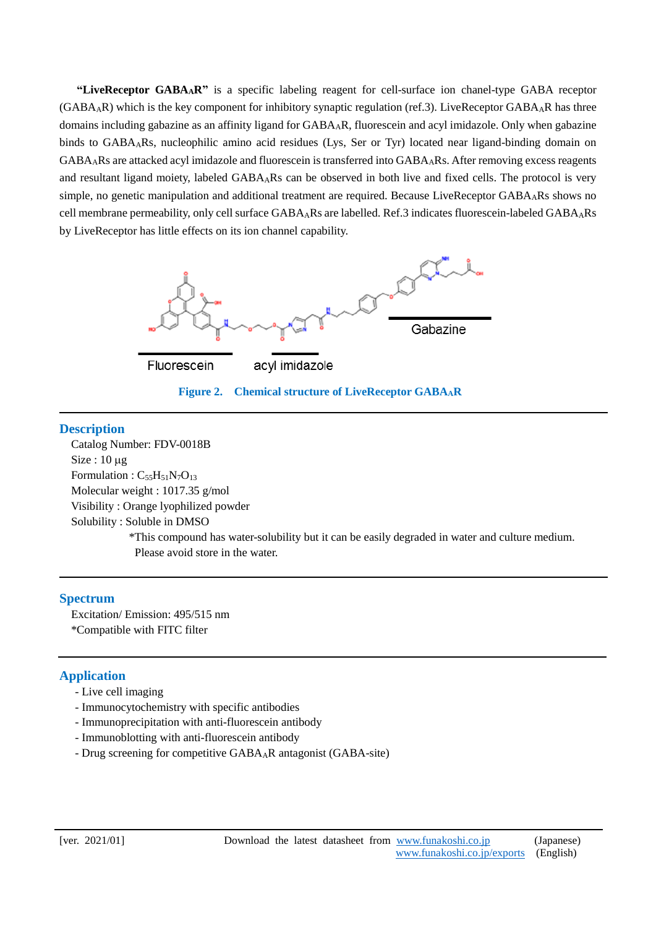**"LiveReceptor GABAAR"** is a specific labeling reagent for cell-surface ion chanel-type GABA receptor  $(GABA_AR)$  which is the key component for inhibitory synaptic regulation (ref.3). LiveReceptor  $GABA_AR$  has three domains including gabazine as an affinity ligand for GABAAR, fluorescein and acyl imidazole. Only when gabazine binds to GABAARs, nucleophilic amino acid residues (Lys, Ser or Tyr) located near ligand-binding domain on GABAARs are attacked acyl imidazole and fluorescein is transferred into GABAARs. After removing excess reagents and resultant ligand moiety, labeled GABAARs can be observed in both live and fixed cells. The protocol is very simple, no genetic manipulation and additional treatment are required. Because LiveReceptor GABA<sub>A</sub>Rs shows no cell membrane permeability, only cell surface GABAARs are labelled. Ref.3 indicates fluorescein-labeled GABAARs by LiveReceptor has little effects on its ion channel capability.



### **Description**

<u>.</u>

 Catalog Number: FDV-0018B  $Size: 10 \mu$ g Formulation :  $C_{55}H_{51}N_7O_{13}$  Molecular weight : 1017.35 g/mol Visibility : Orange lyophilized powder Solubility : Soluble in DMSO \*This compound has water-solubility but it can be easily degraded in water and culture medium. Please avoid store in the water.

## **Spectrum**

Excitation/ Emission: 495/515 nm \*Compatible with FITC filter

## **Application**

- Live cell imaging
- Immunocytochemistry with specific antibodies
- Immunoprecipitation with anti-fluorescein antibody
- Immunoblotting with anti-fluorescein antibody
- Drug screening for competitive GABAAR antagonist (GABA-site)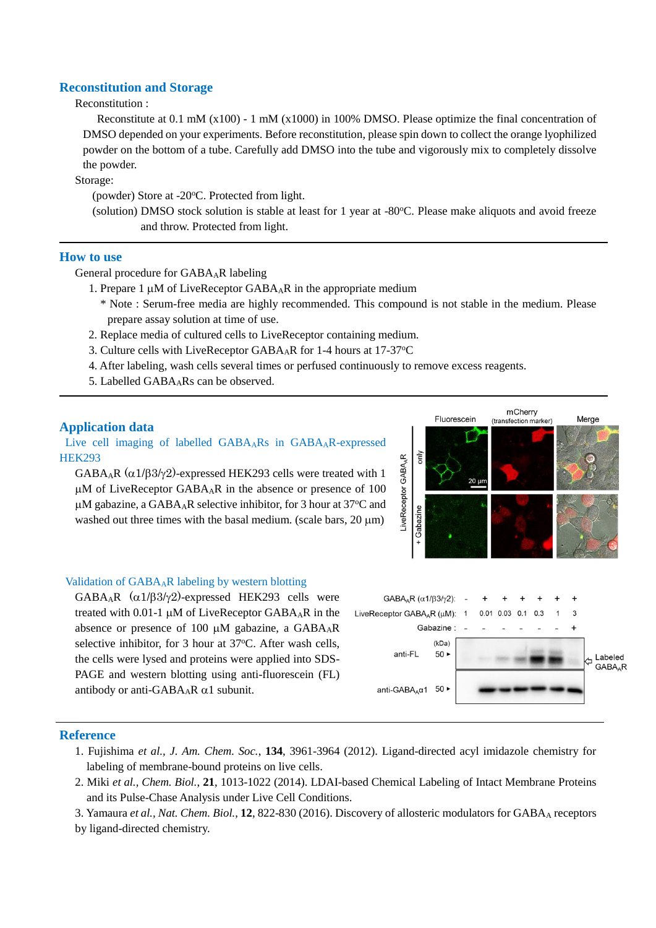## **Reconstitution and Storage**

## Reconstitution :

Reconstitute at 0.1 mM (x100) - 1 mM (x1000) in 100% DMSO. Please optimize the final concentration of DMSO depended on your experiments. Before reconstitution, please spin down to collect the orange lyophilized powder on the bottom of a tube. Carefully add DMSO into the tube and vigorously mix to completely dissolve the powder.

Storage:

(powder) Store at -20°C. Protected from light.

(solution) DMSO stock solution is stable at least for 1 year at -80°C. Please make aliquots and avoid freeze and throw. Protected from light.

#### **How to use**

1

General procedure for GABAAR labeling

- 1. Prepare 1  $\mu$ M of LiveReceptor GABA<sub>A</sub>R in the appropriate medium
	- \* Note : Serum-free media are highly recommended. This compound is not stable in the medium. Please prepare assay solution at time of use.
- 2. Replace media of cultured cells to LiveReceptor containing medium.
- 3. Culture cells with LiveReceptor GABA<sub>A</sub>R for 1-4 hours at 17-37<sup>o</sup>C
- 4. After labeling, wash cells several times or perfused continuously to remove excess reagents.
- 5. Labelled GABAARs can be observed.

#### **Application data**

Live cell imaging of labelled GABAARs in GABAAR-expressed **HEK293** 

GABA<sub>A</sub>R ( $\alpha$ 1/ $\beta$ 3/ $\gamma$ 2)-expressed HEK293 cells were treated with 1  $\mu$ M of LiveReceptor GABA<sub>A</sub>R in the absence or presence of 100  $\mu$ M gabazine, a GABA<sub>A</sub>R selective inhibitor, for 3 hour at 37 °C and washed out three times with the basal medium. (scale bars, 20  $\mu$ m)



#### Validation of  $GABA<sub>A</sub>R$  labeling by western blotting

GABA<sub>A</sub>R  $(\alpha 1/\beta 3/\gamma 2)$ -expressed HEK293 cells were treated with 0.01-1  $\mu$ M of LiveReceptor GABA<sub>A</sub>R in the absence or presence of 100  $\mu$ M gabazine, a GABA<sub>A</sub>R selective inhibitor, for 3 hour at 37°C. After wash cells, the cells were lysed and proteins were applied into SDS-PAGE and western blotting using anti-fluorescein (FL) antibody or anti-GABA<sub>A</sub>R  $\alpha$ 1 subunit.



#### **Reference**

- 1. Fujishima *et al., J. Am. Chem. Soc.*, **134**, 3961-3964 (2012). Ligand-directed acyl imidazole chemistry for labeling of membrane-bound proteins on live cells.
- 2. Miki *et al., Chem. Biol.*, **21**, 1013-1022 (2014). LDAI-based Chemical Labeling of Intact Membrane Proteins and its Pulse-Chase Analysis under Live Cell Conditions.

3. Yamaura *et al., Nat. Chem. Biol.*, **12**, 822-830 (2016). Discovery of allosteric modulators for GABA<sup>A</sup> receptors

by ligand-directed chemistry.